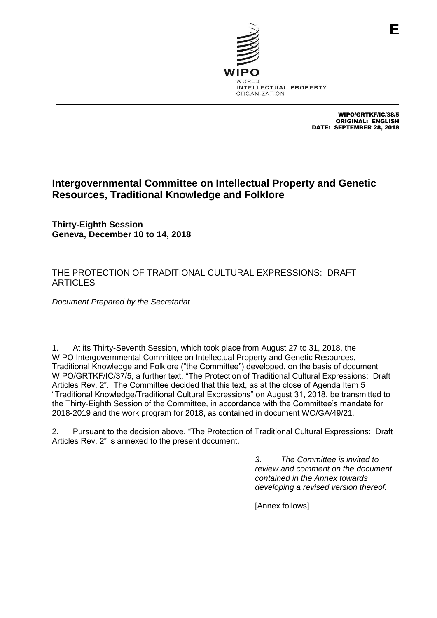

WIPO/GRTKF/IC/38/5 ORIGINAL: ENGLISH DATE: SEPTEMBER 28, 2018

# **Intergovernmental Committee on Intellectual Property and Genetic Resources, Traditional Knowledge and Folklore**

**Thirty-Eighth Session Geneva, December 10 to 14, 2018**

## THE PROTECTION OF TRADITIONAL CULTURAL EXPRESSIONS: DRAFT **ARTICLES**

*Document Prepared by the Secretariat*

1. At its Thirty-Seventh Session, which took place from August 27 to 31, 2018, the WIPO Intergovernmental Committee on Intellectual Property and Genetic Resources, Traditional Knowledge and Folklore ("the Committee") developed, on the basis of document WIPO/GRTKF/IC/37/5, a further text, "The Protection of Traditional Cultural Expressions: Draft Articles Rev. 2". The Committee decided that this text, as at the close of Agenda Item 5 "Traditional Knowledge/Traditional Cultural Expressions" on August 31, 2018, be transmitted to the Thirty-Eighth Session of the Committee, in accordance with the Committee's mandate for 2018-2019 and the work program for 2018, as contained in document WO/GA/49/21.

2. Pursuant to the decision above, "The Protection of Traditional Cultural Expressions: Draft Articles Rev. 2" is annexed to the present document.

> *3. The Committee is invited to review and comment on the document contained in the Annex towards developing a revised version thereof.*

[Annex follows]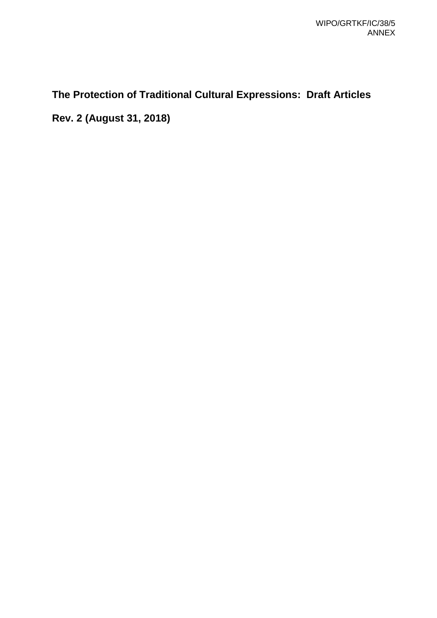# **The Protection of Traditional Cultural Expressions: Draft Articles**

**Rev. 2 (August 31, 2018)**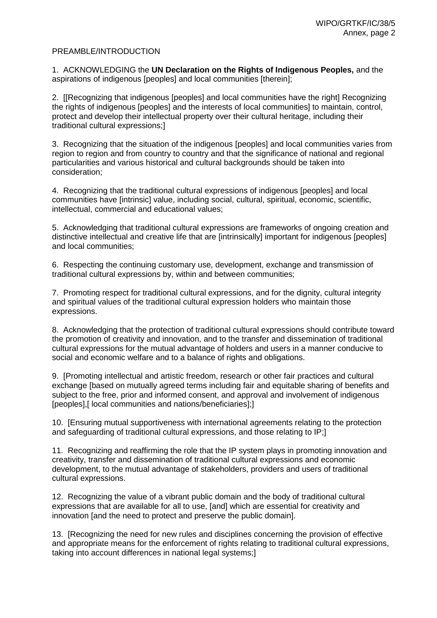#### PREAMBLE/INTRODUCTION

1. ACKNOWLEDGING the **UN Declaration on the Rights of Indigenous Peoples,** and the aspirations of indigenous [peoples] and local communities [therein];

2. [[Recognizing that indigenous [peoples] and local communities have the right] Recognizing the rights of indigenous [peoples] and the interests of local communities] to maintain, control, protect and develop their intellectual property over their cultural heritage, including their traditional cultural expressions;]

3. Recognizing that the situation of the indigenous [peoples] and local communities varies from region to region and from country to country and that the significance of national and regional particularities and various historical and cultural backgrounds should be taken into consideration;

4. Recognizing that the traditional cultural expressions of indigenous [peoples] and local communities have [intrinsic] value, including social, cultural, spiritual, economic, scientific, intellectual, commercial and educational values;

5. Acknowledging that traditional cultural expressions are frameworks of ongoing creation and distinctive intellectual and creative life that are [intrinsically] important for indigenous [peoples] and local communities;

6. Respecting the continuing customary use, development, exchange and transmission of traditional cultural expressions by, within and between communities;

7. Promoting respect for traditional cultural expressions, and for the dignity, cultural integrity and spiritual values of the traditional cultural expression holders who maintain those expressions.

8. Acknowledging that the protection of traditional cultural expressions should contribute toward the promotion of creativity and innovation, and to the transfer and dissemination of traditional cultural expressions for the mutual advantage of holders and users in a manner conducive to social and economic welfare and to a balance of rights and obligations.

9. [Promoting intellectual and artistic freedom, research or other fair practices and cultural exchange [based on mutually agreed terms including fair and equitable sharing of benefits and subject to the free, prior and informed consent, and approval and involvement of indigenous [peoples],[ local communities and nations/beneficiaries];]

10. [Ensuring mutual supportiveness with international agreements relating to the protection and safeguarding of traditional cultural expressions, and those relating to IP;]

11. Recognizing and reaffirming the role that the IP system plays in promoting innovation and creativity, transfer and dissemination of traditional cultural expressions and economic development, to the mutual advantage of stakeholders, providers and users of traditional cultural expressions.

12. Recognizing the value of a vibrant public domain and the body of traditional cultural expressions that are available for all to use, [and] which are essential for creativity and innovation [and the need to protect and preserve the public domain].

13. [Recognizing the need for new rules and disciplines concerning the provision of effective and appropriate means for the enforcement of rights relating to traditional cultural expressions, taking into account differences in national legal systems;]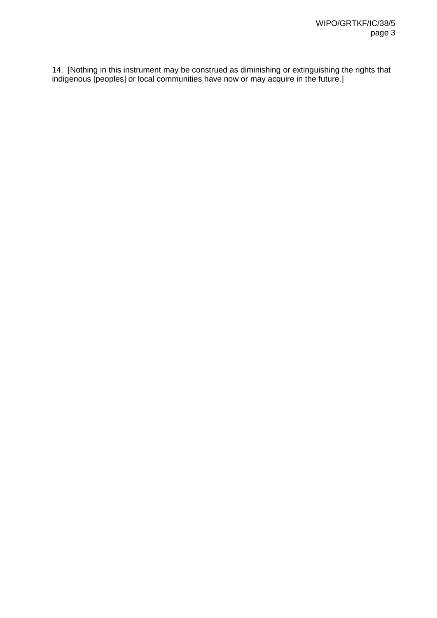14. [Nothing in this instrument may be construed as diminishing or extinguishing the rights that indigenous [peoples] or local communities have now or may acquire in the future.]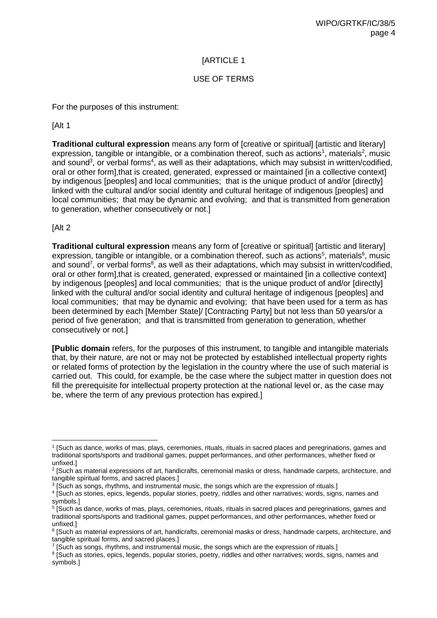## USE OF TERMS

For the purposes of this instrument:

[Alt 1

**Traditional cultural expression** means any form of [creative or spiritual] [artistic and literary] expression, tangible or intangible, or a combination thereof, such as actions<sup>1</sup>, materials<sup>2</sup>, music and sound<sup>3</sup>, or verbal forms<sup>4</sup>, as well as their adaptations, which may subsist in written/codified, oral or other form],that is created, generated, expressed or maintained [in a collective context] by indigenous [peoples] and local communities; that is the unique product of and/or [directly] linked with the cultural and/or social identity and cultural heritage of indigenous [peoples] and local communities; that may be dynamic and evolving; and that is transmitted from generation to generation, whether consecutively or not.]

[Alt 2

**Traditional cultural expression** means any form of [creative or spiritual] [artistic and literary] expression, tangible or intangible, or a combination thereof, such as actions<sup>5</sup>, materials<sup>6</sup>, music and sound<sup>7</sup>, or verbal forms<sup>8</sup>, as well as their adaptations, which may subsist in written/codified, oral or other form],that is created, generated, expressed or maintained [in a collective context] by indigenous [peoples] and local communities; that is the unique product of and/or [directly] linked with the cultural and/or social identity and cultural heritage of indigenous [peoples] and local communities; that may be dynamic and evolving; that have been used for a term as has been determined by each [Member State]/ [Contracting Party] but not less than 50 years/or a period of five generation; and that is transmitted from generation to generation, whether consecutively or not.]

**[Public domain** refers, for the purposes of this instrument, to tangible and intangible materials that, by their nature, are not or may not be protected by established intellectual property rights or related forms of protection by the legislation in the country where the use of such material is carried out. This could, for example, be the case where the subject matter in question does not fill the prerequisite for intellectual property protection at the national level or, as the case may be, where the term of any previous protection has expired.]

 $\overline{a}$ 1 [Such as dance, works of mas, plays, ceremonies, rituals, rituals in sacred places and peregrinations, games and traditional sports/sports and traditional games, puppet performances, and other performances, whether fixed or unfixed.]

<sup>2</sup> [Such as material expressions of art, handicrafts, ceremonial masks or dress, handmade carpets, architecture, and tangible spiritual forms, and sacred places.]

<sup>&</sup>lt;sup>3</sup> [Such as songs, rhythms, and instrumental music, the songs which are the expression of rituals.]

<sup>4</sup> [Such as stories, epics, legends, popular stories, poetry, riddles and other narratives; words, signs, names and symbols.]

<sup>5</sup> [Such as dance, works of mas, plays, ceremonies, rituals, rituals in sacred places and peregrinations, games and traditional sports/sports and traditional games, puppet performances, and other performances, whether fixed or unfixed.]

<sup>&</sup>lt;sup>6</sup> [Such as material expressions of art, handicrafts, ceremonial masks or dress, handmade carpets, architecture, and tangible spiritual forms, and sacred places.]

<sup>&</sup>lt;sup>7</sup> [Such as songs, rhythms, and instrumental music, the songs which are the expression of rituals.]

<sup>&</sup>lt;sup>8</sup> [Such as stories, epics, legends, popular stories, poetry, riddles and other narratives; words, signs, names and symbols.]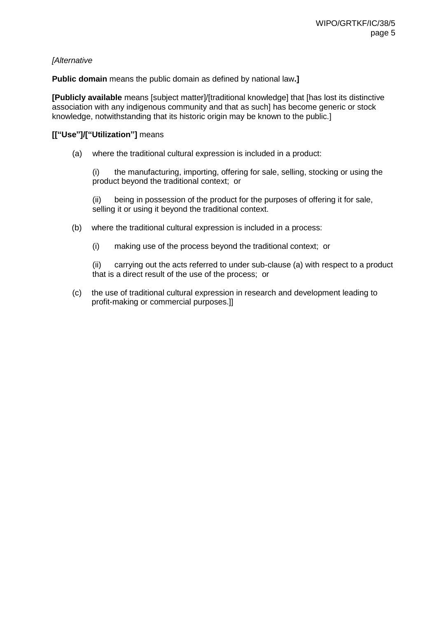#### *[Alternative*

**Public domain** means the public domain as defined by national law**.]**

**[Publicly available** means [subject matter]/[traditional knowledge] that [has lost its distinctive association with any indigenous community and that as such] has become generic or stock knowledge, notwithstanding that its historic origin may be known to the public.]

#### **[["Use"]/["Utilization"]** means

(a) where the traditional cultural expression is included in a product:

(i) the manufacturing, importing, offering for sale, selling, stocking or using the product beyond the traditional context; or

(ii) being in possession of the product for the purposes of offering it for sale, selling it or using it beyond the traditional context.

- (b) where the traditional cultural expression is included in a process:
	- (i) making use of the process beyond the traditional context; or

(ii) carrying out the acts referred to under sub-clause (a) with respect to a product that is a direct result of the use of the process; or

(c) the use of traditional cultural expression in research and development leading to profit-making or commercial purposes.]]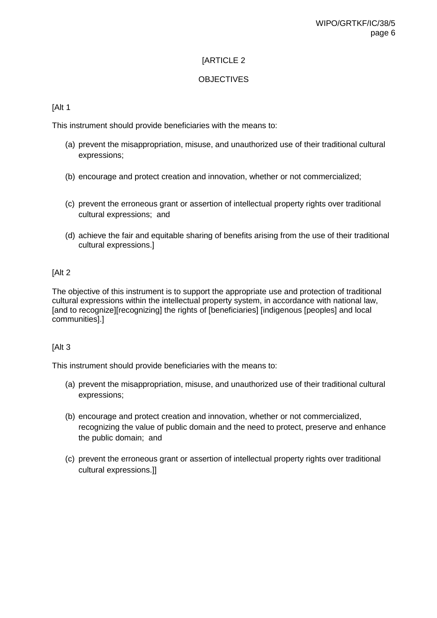## **OBJECTIVES**

### [Alt 1

This instrument should provide beneficiaries with the means to:

- (a) prevent the misappropriation, misuse, and unauthorized use of their traditional cultural expressions;
- (b) encourage and protect creation and innovation, whether or not commercialized;
- (c) prevent the erroneous grant or assertion of intellectual property rights over traditional cultural expressions; and
- (d) achieve the fair and equitable sharing of benefits arising from the use of their traditional cultural expressions.]

#### [Alt 2

The objective of this instrument is to support the appropriate use and protection of traditional cultural expressions within the intellectual property system, in accordance with national law, [and to recognize][recognizing] the rights of [beneficiaries] [indigenous [peoples] and local communities].]

#### [Alt 3

This instrument should provide beneficiaries with the means to:

- (a) prevent the misappropriation, misuse, and unauthorized use of their traditional cultural expressions;
- (b) encourage and protect creation and innovation, whether or not commercialized, recognizing the value of public domain and the need to protect, preserve and enhance the public domain; and
- (c) prevent the erroneous grant or assertion of intellectual property rights over traditional cultural expressions.]]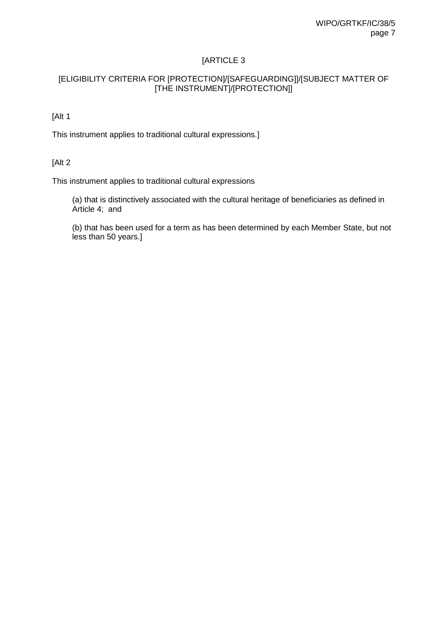## [ELIGIBILITY CRITERIA FOR [PROTECTION]/[SAFEGUARDING]]/[SUBJECT MATTER OF [THE INSTRUMENT]/[PROTECTION]]

## [Alt 1

This instrument applies to traditional cultural expressions.]

### [Alt 2

This instrument applies to traditional cultural expressions

(a) that is distinctively associated with the cultural heritage of beneficiaries as defined in Article 4; and

(b) that has been used for a term as has been determined by each Member State, but not less than 50 years.]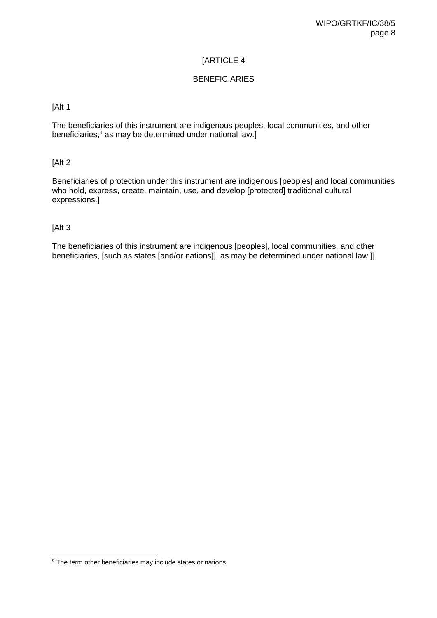## BENEFICIARIES

#### [Alt 1

The beneficiaries of this instrument are indigenous peoples, local communities, and other beneficiaries,<sup>9</sup> as may be determined under national law.]

### [Alt 2

Beneficiaries of protection under this instrument are indigenous [peoples] and local communities who hold, express, create, maintain, use, and develop [protected] traditional cultural expressions.]

### [Alt 3

The beneficiaries of this instrument are indigenous [peoples], local communities, and other beneficiaries, [such as states [and/or nations]], as may be determined under national law.]]

<sup>&</sup>lt;sup>9</sup> The term other beneficiaries may include states or nations.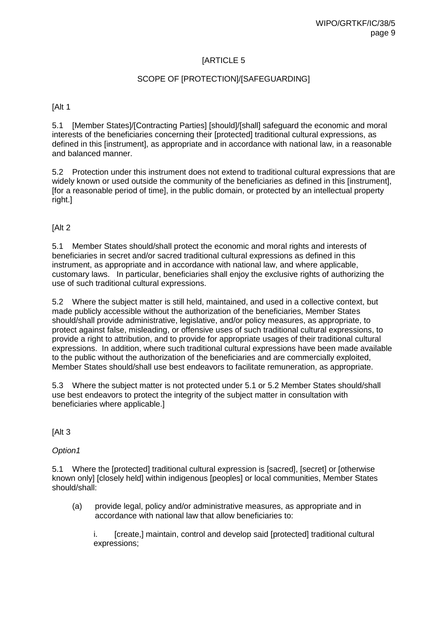#### SCOPE OF [PROTECTION]/[SAFEGUARDING]

[Alt 1

5.1 [Member States]/[Contracting Parties] [should]/[shall] safeguard the economic and moral interests of the beneficiaries concerning their [protected] traditional cultural expressions, as defined in this [instrument], as appropriate and in accordance with national law, in a reasonable and balanced manner.

5.2 Protection under this instrument does not extend to traditional cultural expressions that are widely known or used outside the community of the beneficiaries as defined in this [instrument], [for a reasonable period of time], in the public domain, or protected by an intellectual property right.]

[Alt 2

5.1 Member States should/shall protect the economic and moral rights and interests of beneficiaries in secret and/or sacred traditional cultural expressions as defined in this instrument, as appropriate and in accordance with national law, and where applicable, customary laws. In particular, beneficiaries shall enjoy the exclusive rights of authorizing the use of such traditional cultural expressions.

5.2 Where the subject matter is still held, maintained, and used in a collective context, but made publicly accessible without the authorization of the beneficiaries, Member States should/shall provide administrative, legislative, and/or policy measures, as appropriate, to protect against false, misleading, or offensive uses of such traditional cultural expressions, to provide a right to attribution, and to provide for appropriate usages of their traditional cultural expressions. In addition, where such traditional cultural expressions have been made available to the public without the authorization of the beneficiaries and are commercially exploited, Member States should/shall use best endeavors to facilitate remuneration, as appropriate.

5.3 Where the subject matter is not protected under 5.1 or 5.2 Member States should/shall use best endeavors to protect the integrity of the subject matter in consultation with beneficiaries where applicable.]

[Alt 3

*Option1* 

5.1 Where the [protected] traditional cultural expression is [sacred], [secret] or [otherwise known only] [closely held] within indigenous [peoples] or local communities, Member States should/shall:

(a) provide legal, policy and/or administrative measures, as appropriate and in accordance with national law that allow beneficiaries to:

i. [create,] maintain, control and develop said [protected] traditional cultural expressions;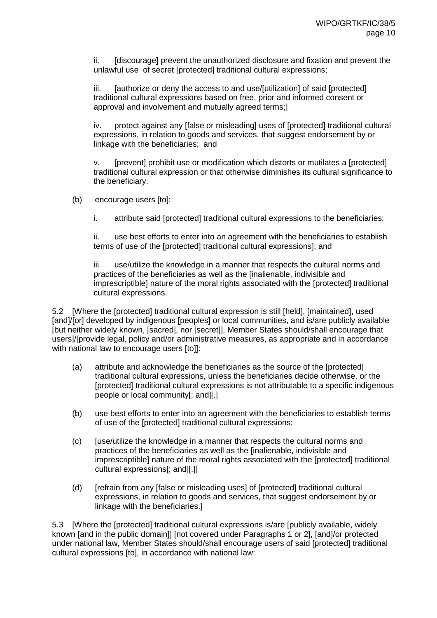ii. [discourage] prevent the unauthorized disclosure and fixation and prevent the unlawful use of secret [protected] traditional cultural expressions;

iii. [authorize or deny the access to and use/[utilization] of said [protected] traditional cultural expressions based on free, prior and informed consent or approval and involvement and mutually agreed terms;]

iv. protect against any [false or misleading] uses of [protected] traditional cultural expressions, in relation to goods and services, that suggest endorsement by or linkage with the beneficiaries; and

v. [prevent] prohibit use or modification which distorts or mutilates a [protected] traditional cultural expression or that otherwise diminishes its cultural significance to the beneficiary.

- (b) encourage users [to]:
	- i. attribute said [protected] traditional cultural expressions to the beneficiaries;

ii. use best efforts to enter into an agreement with the beneficiaries to establish terms of use of the [protected] traditional cultural expressions]; and

iii. use/utilize the knowledge in a manner that respects the cultural norms and practices of the beneficiaries as well as the [inalienable, indivisible and imprescriptible] nature of the moral rights associated with the [protected] traditional cultural expressions.

5.2 [Where the [protected] traditional cultural expression is still [held], [maintained], used [and]/[or] developed by indigenous [peoples] or local communities, and is/are publicly available [but neither widely known, [sacred], nor [secret]], Member States should/shall encourage that users]/[provide legal, policy and/or administrative measures, as appropriate and in accordance with national law to encourage users [to]]:

- (a) attribute and acknowledge the beneficiaries as the source of the [protected] traditional cultural expressions, unless the beneficiaries decide otherwise, or the [protected] traditional cultural expressions is not attributable to a specific indigenous people or local community[; and][.]
- (b) use best efforts to enter into an agreement with the beneficiaries to establish terms of use of the [protected] traditional cultural expressions;
- (c) [use/utilize the knowledge in a manner that respects the cultural norms and practices of the beneficiaries as well as the [inalienable, indivisible and imprescriptible] nature of the moral rights associated with the [protected] traditional cultural expressions[; and][.]]
- (d) [refrain from any [false or misleading uses] of [protected] traditional cultural expressions, in relation to goods and services, that suggest endorsement by or linkage with the beneficiaries.]

5.3 [Where the [protected] traditional cultural expressions is/are [publicly available, widely known [and in the public domain]] [not covered under Paragraphs 1 or 2], [and]/or protected under national law, Member States should/shall encourage users of said [protected] traditional cultural expressions [to], in accordance with national law: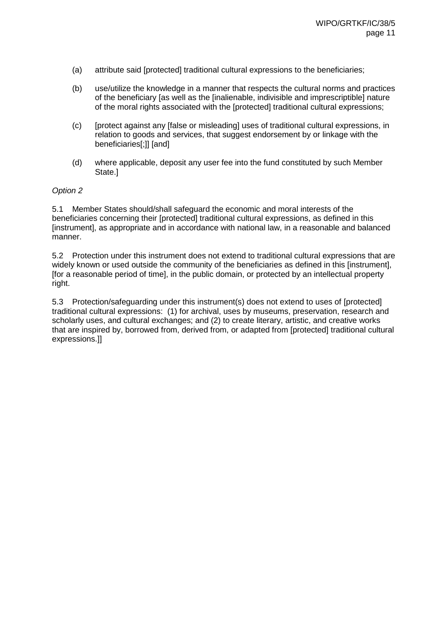- (a) attribute said [protected] traditional cultural expressions to the beneficiaries;
- (b) use/utilize the knowledge in a manner that respects the cultural norms and practices of the beneficiary [as well as the [inalienable, indivisible and imprescriptible] nature of the moral rights associated with the [protected] traditional cultural expressions;
- (c) [protect against any [false or misleading] uses of traditional cultural expressions, in relation to goods and services, that suggest endorsement by or linkage with the beneficiaries[;]] [and]
- (d) where applicable, deposit any user fee into the fund constituted by such Member State.]

#### *Option 2*

5.1 Member States should/shall safeguard the economic and moral interests of the beneficiaries concerning their [protected] traditional cultural expressions, as defined in this [instrument], as appropriate and in accordance with national law, in a reasonable and balanced manner.

5.2 Protection under this instrument does not extend to traditional cultural expressions that are widely known or used outside the community of the beneficiaries as defined in this [instrument], [for a reasonable period of time], in the public domain, or protected by an intellectual property right.

5.3 Protection/safeguarding under this instrument(s) does not extend to uses of [protected] traditional cultural expressions: (1) for archival, uses by museums, preservation, research and scholarly uses, and cultural exchanges; and (2) to create literary, artistic, and creative works that are inspired by, borrowed from, derived from, or adapted from [protected] traditional cultural expressions.]]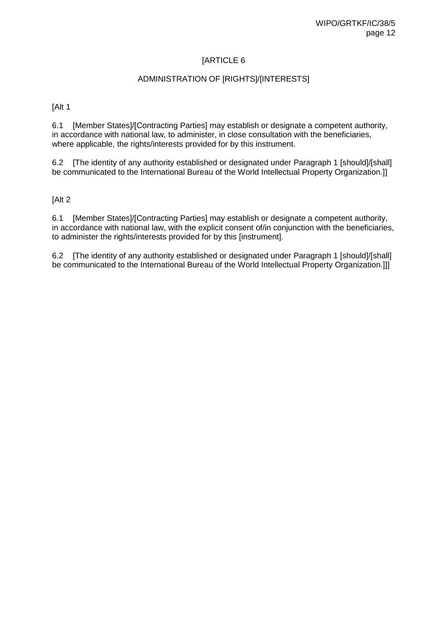## ADMINISTRATION OF [RIGHTS]/[INTERESTS]

[Alt 1

6.1 [Member States]/[Contracting Parties] may establish or designate a competent authority, in accordance with national law, to administer, in close consultation with the beneficiaries, where applicable, the rights/interests provided for by this instrument.

6.2 [The identity of any authority established or designated under Paragraph 1 [should]/[shall] be communicated to the International Bureau of the World Intellectual Property Organization.]]

[Alt 2

6.1 [Member States]/[Contracting Parties] may establish or designate a competent authority, in accordance with national law, with the explicit consent of/in conjunction with the beneficiaries, to administer the rights/interests provided for by this [instrument].

6.2 [The identity of any authority established or designated under Paragraph 1 [should]/[shall] be communicated to the International Bureau of the World Intellectual Property Organization.]]]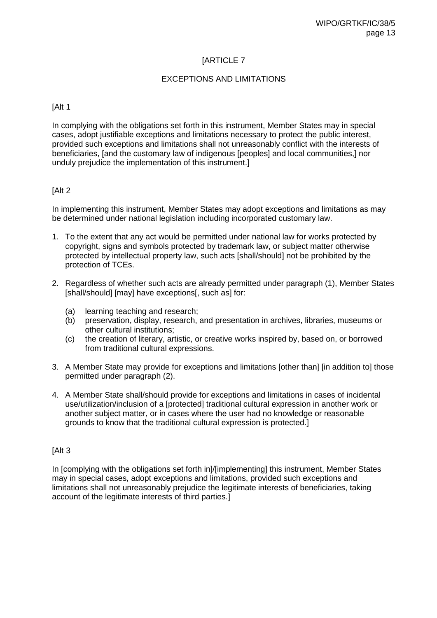## EXCEPTIONS AND LIMITATIONS

#### [Alt 1

In complying with the obligations set forth in this instrument, Member States may in special cases, adopt justifiable exceptions and limitations necessary to protect the public interest, provided such exceptions and limitations shall not unreasonably conflict with the interests of beneficiaries, [and the customary law of indigenous [peoples] and local communities,] nor unduly prejudice the implementation of this instrument.]

#### [Alt 2]

In implementing this instrument, Member States may adopt exceptions and limitations as may be determined under national legislation including incorporated customary law.

- 1. To the extent that any act would be permitted under national law for works protected by copyright, signs and symbols protected by trademark law, or subject matter otherwise protected by intellectual property law, such acts [shall/should] not be prohibited by the protection of TCEs.
- 2. Regardless of whether such acts are already permitted under paragraph (1), Member States [shall/should] [may] have exceptions[, such as] for:
	- (a) learning teaching and research;
	- (b) preservation, display, research, and presentation in archives, libraries, museums or other cultural institutions;
	- (c) the creation of literary, artistic, or creative works inspired by, based on, or borrowed from traditional cultural expressions.
- 3. A Member State may provide for exceptions and limitations [other than] [in addition to] those permitted under paragraph (2).
- 4. A Member State shall/should provide for exceptions and limitations in cases of incidental use/utilization/inclusion of a [protected] traditional cultural expression in another work or another subject matter, or in cases where the user had no knowledge or reasonable grounds to know that the traditional cultural expression is protected.]

#### [Alt 3

In [complying with the obligations set forth in]/[implementing] this instrument, Member States may in special cases, adopt exceptions and limitations, provided such exceptions and limitations shall not unreasonably prejudice the legitimate interests of beneficiaries, taking account of the legitimate interests of third parties.]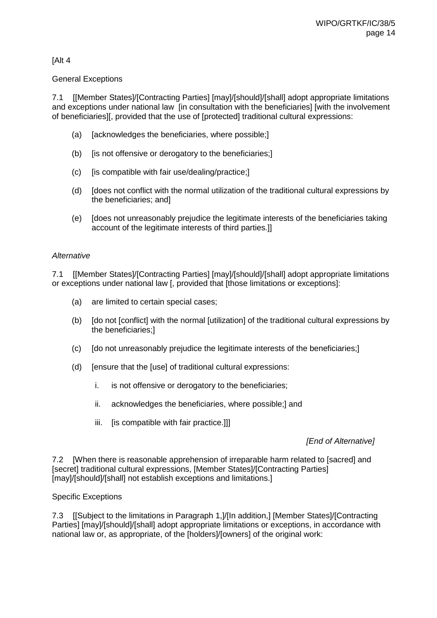## [Alt 4

#### General Exceptions

7.1 [[Member States]/[Contracting Parties] [may]/[should]/[shall] adopt appropriate limitations and exceptions under national law [in consultation with the beneficiaries] [with the involvement of beneficiaries][, provided that the use of [protected] traditional cultural expressions:

- (a) [acknowledges the beneficiaries, where possible;]
- (b) [is not offensive or derogatory to the beneficiaries;]
- (c) [is compatible with fair use/dealing/practice;]
- (d) [does not conflict with the normal utilization of the traditional cultural expressions by the beneficiaries; and]
- (e) [does not unreasonably prejudice the legitimate interests of the beneficiaries taking account of the legitimate interests of third parties.]]

#### *Alternative*

7.1 [[Member States]/[Contracting Parties] [may]/[should]/[shall] adopt appropriate limitations or exceptions under national law [, provided that [those limitations or exceptions]:

- (a) are limited to certain special cases;
- (b) [do not [conflict] with the normal [utilization] of the traditional cultural expressions by the beneficiaries;]
- (c) [do not unreasonably prejudice the legitimate interests of the beneficiaries;]
- (d) [ensure that the [use] of traditional cultural expressions:
	- i. is not offensive or derogatory to the beneficiaries;
	- ii. acknowledges the beneficiaries, where possible;] and
	- iii. [is compatible with fair practice.]]

#### *[End of Alternative]*

7.2 [When there is reasonable apprehension of irreparable harm related to [sacred] and [secret] traditional cultural expressions, [Member States]/[Contracting Parties] [may]/[should]/[shall] not establish exceptions and limitations.]

#### Specific Exceptions

7.3 [[Subject to the limitations in Paragraph 1,]/[In addition,] [Member States]/[Contracting Parties] [may]/[should]/[shall] adopt appropriate limitations or exceptions, in accordance with national law or, as appropriate, of the [holders]/[owners] of the original work: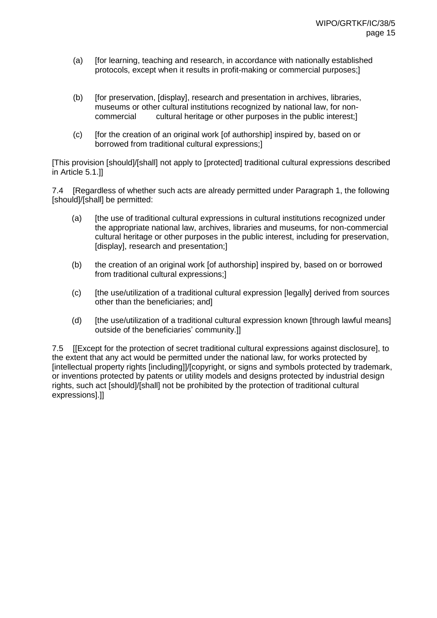- (a) [for learning, teaching and research, in accordance with nationally established protocols, except when it results in profit-making or commercial purposes;]
- (b) [for preservation, [display], research and presentation in archives, libraries, museums or other cultural institutions recognized by national law, for non-<br>commercial cultural heritage or other purposes in the public interest: cultural heritage or other purposes in the public interest;]
- (c) [for the creation of an original work [of authorship] inspired by, based on or borrowed from traditional cultural expressions;]

[This provision [should]/[shall] not apply to [protected] traditional cultural expressions described in Article 5.1.]]

7.4 [Regardless of whether such acts are already permitted under Paragraph 1, the following [should]/[shall] be permitted:

- (a) [the use of traditional cultural expressions in cultural institutions recognized under the appropriate national law, archives, libraries and museums, for non-commercial cultural heritage or other purposes in the public interest, including for preservation, [display], research and presentation;]
- (b) the creation of an original work [of authorship] inspired by, based on or borrowed from traditional cultural expressions;]
- (c) [the use/utilization of a traditional cultural expression [legally] derived from sources other than the beneficiaries; and]
- (d) [the use/utilization of a traditional cultural expression known [through lawful means] outside of the beneficiaries' community.]]

7.5 [[Except for the protection of secret traditional cultural expressions against disclosure], to the extent that any act would be permitted under the national law, for works protected by [intellectual property rights [including]]/[copyright, or signs and symbols protected by trademark, or inventions protected by patents or utility models and designs protected by industrial design rights, such act [should]/[shall] not be prohibited by the protection of traditional cultural expressions].]]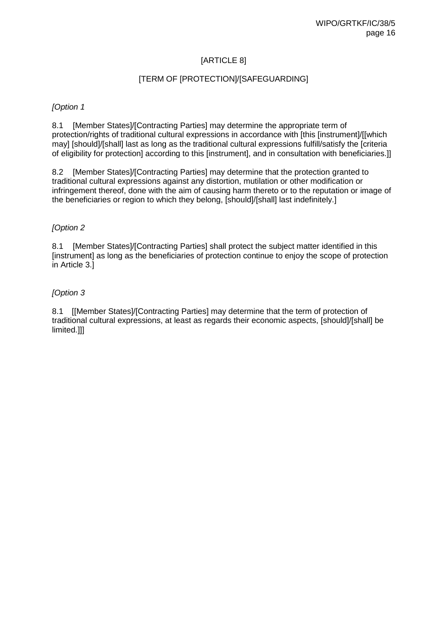## [ARTICLE 8]

## [TERM OF [PROTECTION]/[SAFEGUARDING]

#### *[Option 1*

8.1 [Member States]/[Contracting Parties] may determine the appropriate term of protection/rights of traditional cultural expressions in accordance with [this [instrument]/[[which may] [should]/[shall] last as long as the traditional cultural expressions fulfill/satisfy the [criteria of eligibility for protection] according to this [instrument], and in consultation with beneficiaries.]]

8.2 [Member States]/[Contracting Parties] may determine that the protection granted to traditional cultural expressions against any distortion, mutilation or other modification or infringement thereof, done with the aim of causing harm thereto or to the reputation or image of the beneficiaries or region to which they belong, [should]/[shall] last indefinitely.]

## *[Option 2*

8.1 [Member States]/[Contracting Parties] shall protect the subject matter identified in this [instrument] as long as the beneficiaries of protection continue to enjoy the scope of protection in Article 3.]

### *[Option 3*

8.1 [[Member States]/[Contracting Parties] may determine that the term of protection of traditional cultural expressions, at least as regards their economic aspects, [should]/[shall] be limited.]]]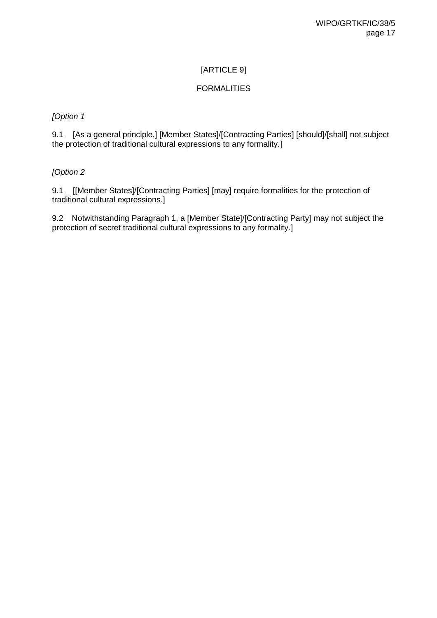## [ARTICLE 9]

## FORMALITIES

## *[Option 1*

9.1 [As a general principle,] [Member States]/[Contracting Parties] [should]/[shall] not subject the protection of traditional cultural expressions to any formality.]

## *[Option 2*

9.1 [[Member States]/[Contracting Parties] [may] require formalities for the protection of traditional cultural expressions.]

9.2 Notwithstanding Paragraph 1, a [Member State]/[Contracting Party] may not subject the protection of secret traditional cultural expressions to any formality.]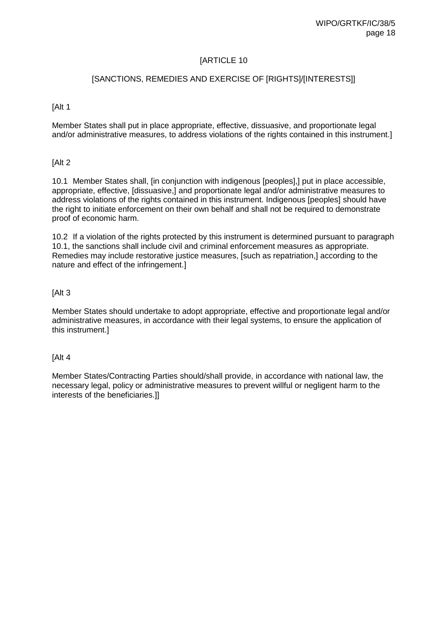#### [SANCTIONS, REMEDIES AND EXERCISE OF [RIGHTS]/[INTERESTS]]

[Alt 1

Member States shall put in place appropriate, effective, dissuasive, and proportionate legal and/or administrative measures, to address violations of the rights contained in this instrument.]

[Alt 2

10.1 Member States shall, [in conjunction with indigenous [peoples],] put in place accessible, appropriate, effective, [dissuasive,] and proportionate legal and/or administrative measures to address violations of the rights contained in this instrument. Indigenous [peoples] should have the right to initiate enforcement on their own behalf and shall not be required to demonstrate proof of economic harm.

10.2 If a violation of the rights protected by this instrument is determined pursuant to paragraph 10.1, the sanctions shall include civil and criminal enforcement measures as appropriate. Remedies may include restorative justice measures, [such as repatriation,] according to the nature and effect of the infringement.]

#### [Alt 3

Member States should undertake to adopt appropriate, effective and proportionate legal and/or administrative measures, in accordance with their legal systems, to ensure the application of this instrument.]

#### [Alt 4

Member States/Contracting Parties should/shall provide, in accordance with national law, the necessary legal, policy or administrative measures to prevent willful or negligent harm to the interests of the beneficiaries.]]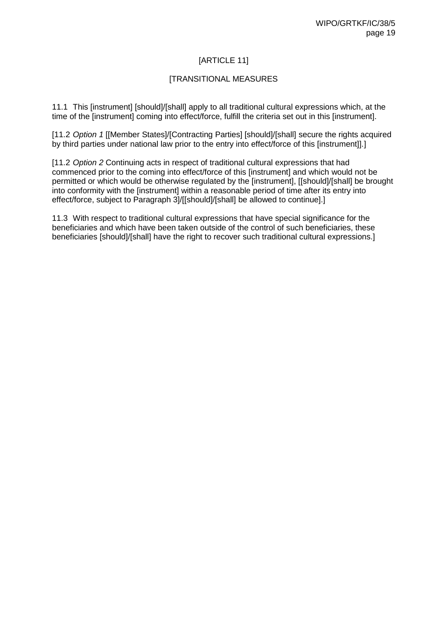# [ARTICLE 11]

### [TRANSITIONAL MEASURES

11.1 This [instrument] [should]/[shall] apply to all traditional cultural expressions which, at the time of the [instrument] coming into effect/force, fulfill the criteria set out in this [instrument].

[11.2 *Option 1* [[Member States]/[Contracting Parties] [should]/[shall] secure the rights acquired by third parties under national law prior to the entry into effect/force of this [instrument]].]

[11.2 *Option 2* Continuing acts in respect of traditional cultural expressions that had commenced prior to the coming into effect/force of this [instrument] and which would not be permitted or which would be otherwise regulated by the [instrument], [[should]/[shall] be brought into conformity with the [instrument] within a reasonable period of time after its entry into effect/force, subject to Paragraph 3]/[[should]/[shall] be allowed to continue].]

11.3 With respect to traditional cultural expressions that have special significance for the beneficiaries and which have been taken outside of the control of such beneficiaries, these beneficiaries [should]/[shall] have the right to recover such traditional cultural expressions.]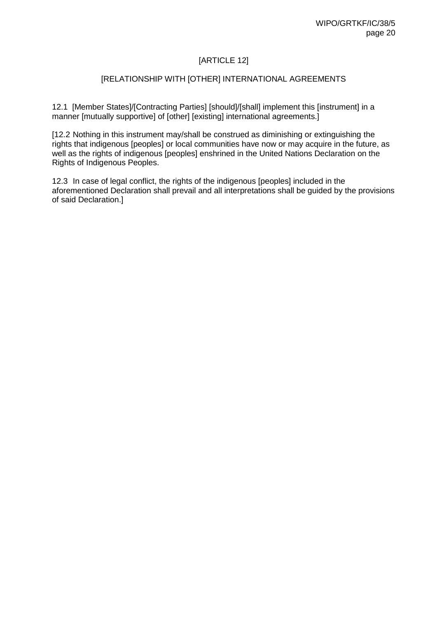# [ARTICLE 12]

## [RELATIONSHIP WITH [OTHER] INTERNATIONAL AGREEMENTS

12.1 [Member States]/[Contracting Parties] [should]/[shall] implement this [instrument] in a manner [mutually supportive] of [other] [existing] international agreements.]

[12.2 Nothing in this instrument may/shall be construed as diminishing or extinguishing the rights that indigenous [peoples] or local communities have now or may acquire in the future, as well as the rights of indigenous [peoples] enshrined in the United Nations Declaration on the Rights of Indigenous Peoples.

12.3 In case of legal conflict, the rights of the indigenous [peoples] included in the aforementioned Declaration shall prevail and all interpretations shall be guided by the provisions of said Declaration.]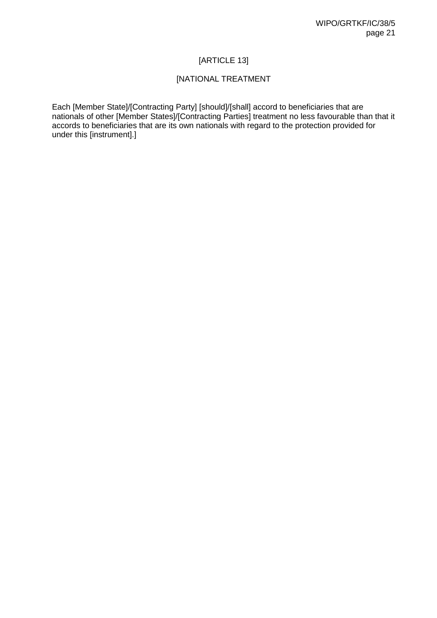# [ARTICLE 13]

## [NATIONAL TREATMENT

Each [Member State]/[Contracting Party] [should]/[shall] accord to beneficiaries that are nationals of other [Member States]/[Contracting Parties] treatment no less favourable than that it accords to beneficiaries that are its own nationals with regard to the protection provided for under this [instrument].]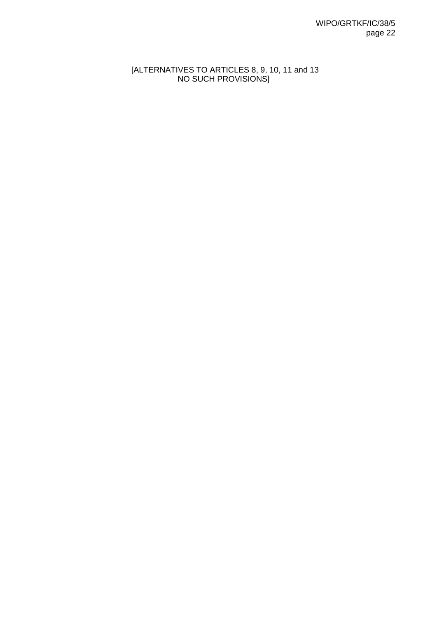## [ALTERNATIVES TO ARTICLES 8, 9, 10, 11 and 13 NO SUCH PROVISIONS]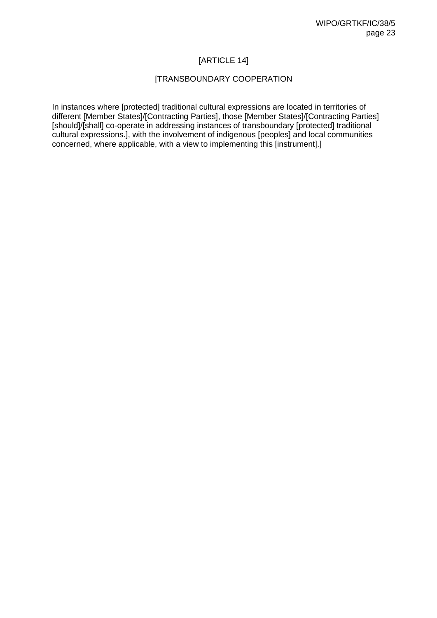# [ARTICLE 14]

## [TRANSBOUNDARY COOPERATION

In instances where [protected] traditional cultural expressions are located in territories of different [Member States]/[Contracting Parties], those [Member States]/[Contracting Parties] [should]/[shall] co-operate in addressing instances of transboundary [protected] traditional cultural expressions.], with the involvement of indigenous [peoples] and local communities concerned, where applicable, with a view to implementing this [instrument].]